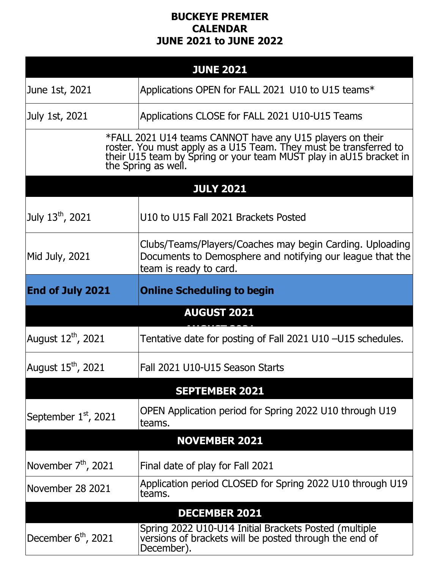## **BUCKEYE PREMIER CALENDAR JUNE 2021 to JUNE 2022**

| <b>JUNE 2021</b>                                                                                                                                                                                                      |                                                                                                                                                 |  |
|-----------------------------------------------------------------------------------------------------------------------------------------------------------------------------------------------------------------------|-------------------------------------------------------------------------------------------------------------------------------------------------|--|
| June 1st, 2021                                                                                                                                                                                                        | Applications OPEN for FALL 2021 U10 to U15 teams*                                                                                               |  |
| July 1st, 2021                                                                                                                                                                                                        | Applications CLOSE for FALL 2021 U10-U15 Teams                                                                                                  |  |
| *FALL 2021 U14 teams CANNOT have any U15 players on their roster. You must apply as a U15 Team. They must be transferred to their U15 team by Spring or your team MUST play in aU15 bracket in<br>the Spring as well. |                                                                                                                                                 |  |
|                                                                                                                                                                                                                       | <b>JULY 2021</b>                                                                                                                                |  |
| July $13^{\text{th}}$ , 2021                                                                                                                                                                                          | U10 to U15 Fall 2021 Brackets Posted                                                                                                            |  |
| Mid July, 2021                                                                                                                                                                                                        | Clubs/Teams/Players/Coaches may begin Carding. Uploading<br>Documents to Demosphere and notifying our league that the<br>team is ready to card. |  |
| <b>End of July 2021</b>                                                                                                                                                                                               | <b>Online Scheduling to begin</b>                                                                                                               |  |
|                                                                                                                                                                                                                       | <b>AUGUST 2021</b>                                                                                                                              |  |
| August 12 <sup>th</sup> , 2021                                                                                                                                                                                        | Tentative date for posting of Fall 2021 U10 -U15 schedules.                                                                                     |  |
| August $15^{\text{th}}$ , 2021                                                                                                                                                                                        | Fall 2021 U10-U15 Season Starts                                                                                                                 |  |
| <b>SEPTEMBER 2021</b>                                                                                                                                                                                                 |                                                                                                                                                 |  |
| September 1 <sup>st</sup> , 2021                                                                                                                                                                                      | OPEN Application period for Spring 2022 U10 through U19<br>teams.                                                                               |  |
|                                                                                                                                                                                                                       | <b>NOVEMBER 2021</b>                                                                                                                            |  |
| November 7 <sup>th</sup> , 2021                                                                                                                                                                                       | Final date of play for Fall 2021                                                                                                                |  |
| November 28 2021                                                                                                                                                                                                      | Application period CLOSED for Spring 2022 U10 through U19<br>teams.                                                                             |  |
|                                                                                                                                                                                                                       | <b>DECEMBER 2021</b>                                                                                                                            |  |
| December $6th$ , 2021                                                                                                                                                                                                 | Spring 2022 U10-U14 Initial Brackets Posted (multiple<br>versions of brackets will be posted through the end of<br>December).                   |  |